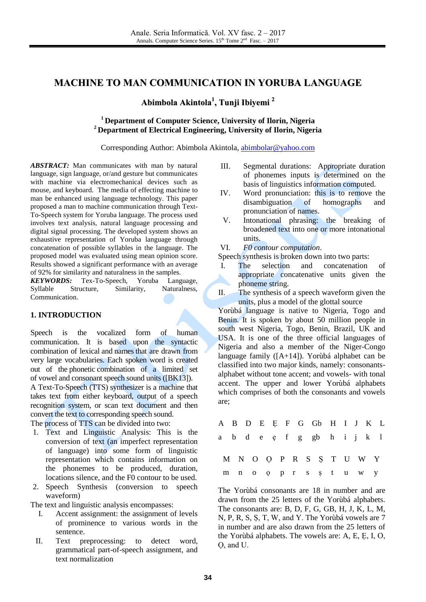# **MACHINE TO MAN COMMUNICATION IN YORUBA LANGUAGE**

**Abimbola Akintola 1 , Tunji Ibiyemi 2**

## **<sup>1</sup> Department of Computer Science, University of Ilorin, Nigeria <sup>2</sup> Department of Electrical Engineering, University of Ilorin, Nigeria**

Corresponding Author: Abimbola Akintola, [abimbolar@yahoo.com](mailto:abimbolar@yahoo.com)

*ABSTRACT:* Man communicates with man by natural language, sign language, or/and gesture but communicates with machine via electromechanical devices such as mouse, and keyboard. The media of effecting machine to man be enhanced using language technology. This paper proposed a man to machine communication through Text-To-Speech system for Yoruba language. The process used involves text analysis, natural language processing and digital signal processing. The developed system shows an exhaustive representation of Yoruba language through concatenation of possible syllables in the language. The proposed model was evaluated using mean opinion score. Results showed a significant performance with an average of 92% for similarity and naturalness in the samples.

*KEYWORDS:* Tex-To-Speech, Yoruba Language, Syllable Structure, Similarity, Naturalness, Communication.

## **1. INTRODUCTION**

Speech is the vocalized form of human communication. It is based upon the syntactic combination of lexical and [names](http://en.wikipedia.org/wiki/Name) that are drawn from very large [vocabularies.](http://en.wikipedia.org/wiki/Vocabulary) Each spoken word is created out of the [phonetic](http://en.wikipedia.org/wiki/Phonetic) combination of a limited set of [vowel](http://en.wikipedia.org/wiki/Vowel) and [consonant](http://en.wikipedia.org/wiki/Consonant) speech sound units ([BK13]).

A Text-To-Speech (TTS) synthesizer is a machine that takes text from either keyboard, output of a speech recognition system, or scan text document and then convert the text to corresponding speech sound.

The process of TTS can be divided into two:

- 1. Text and Linguistic Analysis: This is the conversion of text (an imperfect representation of language) into some form of linguistic representation which contains information on the phonemes to be produced, duration, locations silence, and the F0 contour to be used.
- 2. Speech Synthesis (conversion to speech waveform)

The text and linguistic analysis encompasses:

- I. Accent assignment: the assignment of levels of prominence to various words in the sentence.
- II. Text preprocessing: to detect word, grammatical part-of-speech assignment, and text normalization
- III. Segmental durations: Appropriate duration of phonemes inputs is determined on the basis of linguistics information computed.
- IV. Word pronunciation: this is to remove the disambiguation of homographs and pronunciation of names.
- V. Intonational phrasing: the breaking of broadened text into one or more intonational units.
- VI. *F0 contour computation*.

Speech synthesis is broken down into two parts:

- I. The selection and concatenation of appropriate concatenative units given the phoneme string.
- II. The synthesis of a speech waveform given the units, plus a model of the glottal source

Yorùbá language is native to Nigeria, Togo and Benin. It is spoken by about 50 million people in south west Nigeria, Togo, Benin, Brazil, UK and USA. It is one of the three official languages of Nigeria and also a member of the Niger-Congo language family ([A+14]). Yorùbá alphabet can be classified into two major kinds, namely: consonantsalphabet without tone accent; and vowels- with tonal accent. The upper and lower Yorùbá alphabets which comprises of both the consonants and vowels are;

|  |  |  |  |  | A B D E E F G Gb H I J K L |  |  |
|--|--|--|--|--|----------------------------|--|--|
|  |  |  |  |  | abde efggbhijkl            |  |  |
|  |  |  |  |  | M N O O P R S S T U W Y    |  |  |
|  |  |  |  |  | m no oprsstuwy             |  |  |

The Yorùbá consonants are 18 in number and are drawn from the 25 letters of the Yorùbá alphabets. The consonants are: B, D, F, G, GB, H, J, K, L, M, N, P, R, S, Ṣ, T, W, and Y. The Yorùbá vowels are 7 in number and are also drawn from the 25 letters of the Yorùbá alphabets. The vowels are: A, E, Ẹ, I, O, Ọ, and U.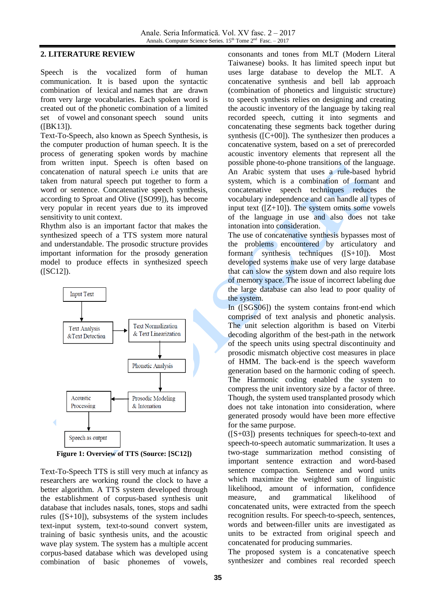## **2. LITERATURE REVIEW**

Speech is the vocalized form of human communication. It is based upon the syntactic combination of lexical and [names](http://en.wikipedia.org/wiki/Name) that are drawn from very large [vocabularies.](http://en.wikipedia.org/wiki/Vocabulary) Each spoken word is created out of the [phonetic](http://en.wikipedia.org/wiki/Phonetic) combination of a limited set of [vowel](http://en.wikipedia.org/wiki/Vowel) and [consonant](http://en.wikipedia.org/wiki/Consonant) speech sound units ([BK13]).

Text-To-Speech, also known as Speech Synthesis, is the computer production of human speech. It is the process of generating spoken words by machine from written input. Speech is often based on concatenation of natural speech i.e units that are taken from natural speech put together to form a word or sentence. Concatenative speech synthesis, according to Sproat and Olive ([SO99]), has become very popular in recent years due to its improved sensitivity to unit context.

Rhythm also is an important factor that makes the synthesized speech of a TTS system more natural and understandable. The prosodic structure provides important information for the prosody generation model to produce effects in synthesized speech ([SC12]).



**Figure 1: Overview of TTS (Source: [SC12])**

Text-To-Speech TTS is still very much at infancy as researchers are working round the clock to have a better algorithm. A TTS system developed through the establishment of corpus-based synthesis unit database that includes nasals, tones, stops and sadhi rules ([S+10]), subsystems of the system includes text-input system, text-to-sound convert system, training of basic synthesis units, and the acoustic wave play system. The system has a multiple accent corpus-based database which was developed using combination of basic phonemes of vowels,

consonants and tones from MLT (Modern Literal Taiwanese) books. It has limited speech input but uses large database to develop the MLT. A concatenative synthesis and bell lab approach (combination of phonetics and linguistic structure) to speech synthesis relies on designing and creating the acoustic inventory of the language by taking real recorded speech, cutting it into segments and concatenating these segments back together during synthesis ([C+00]). The synthesizer then produces a concatenative system, based on a set of prerecorded acoustic inventory elements that represent all the possible phone-to-phone transitions of the language. An Arabic system that uses a rule-based hybrid system, which is a combination of formant and concatenative speech techniques reduces the vocabulary independence and can handle all types of input text  $([Z+10])$ . The system omits some vowels of the language in use and also does not take intonation into consideration.

The use of concatenative synthesis bypasses most of the problems encountered by articulatory and formant synthesis techniques ([S+10]). Most developed systems make use of very large database that can slow the system down and also require lots of memory space. The issue of incorrect labeling due the large database can also lead to poor quality of the system.

In ([SGS06]) the system contains front-end which comprised of text analysis and phonetic analysis. The unit selection algorithm is based on Viterbi decoding algorithm of the best-path in the network of the speech units using spectral discontinuity and prosodic mismatch objective cost measures in place of HMM. The back-end is the speech waveform generation based on the harmonic coding of speech. The Harmonic coding enabled the system to compress the unit inventory size by a factor of three. Though, the system used transplanted prosody which does not take intonation into consideration, where generated prosody would have been more effective for the same purpose.

([S+03]) presents techniques for speech-to-text and speech-to-speech automatic summarization. It uses a two-stage summarization method consisting of important sentence extraction and word-based sentence compaction. Sentence and word units which maximize the weighted sum of linguistic likelihood, amount of information, confidence measure, and grammatical likelihood of concatenated units, were extracted from the speech recognition results. For speech-to-speech, sentences, words and between-filler units are investigated as units to be extracted from original speech and concatenated for producing summaries.

The proposed system is a concatenative speech synthesizer and combines real recorded speech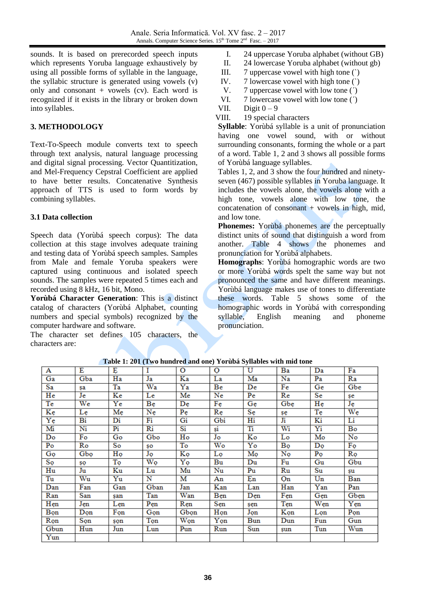sounds. It is based on prerecorded speech inputs which represents Yoruba language exhaustively by using all possible forms of syllable in the language, the syllabic structure is generated using vowels (v) only and consonant  $+$  vowels (cv). Each word is recognized if it exists in the library or broken down into syllables.

# **3. METHODOLOGY**

Text-To-Speech module converts text to speech through text analysis, natural language processing and digital signal processing. Vector Quantitization, and Mel-Frequency Cepstral Coefficient are applied to have better results. Concatenative Synthesis approach of TTS is used to form words by combining syllables.

# **3.1 Data collection**

Speech data (Yorùbá speech corpus): The data collection at this stage involves adequate training and testing data of Yorùbá speech samples. Samples from Male and female Yoruba speakers were captured using continuous and isolated speech sounds. The samples were repeated 5 times each and recorded using 8 kHz, 16 bit, Mono.

**Yorùbá Character Generation**: This is a distinct catalog of characters (Yorùbá Alphabet, counting numbers and special symbols) recognized by the computer hardware and software.

The character set defines 105 characters, the characters are:

- I. 24 uppercase Yoruba alphabet (without GB)
- II. 24 lowercase Yoruba alphabet (without gb)
- III. 7 uppercase vowel with high tone (`)
- IV. 7 lowercase vowel with high tone (`)
- V. 7 uppercase vowel with low tone (')<br>VI 7 lowercase vowel with low tone (')
- VI. 7 lowercase vowel with low tone ( $\dot{\phantom{1}}$ )<br>VII. Digit  $0-9$
- Digit  $0 9$
- VIII. 19 special characters

**Syllable**: Yorùbá syllable is a unit of pronunciation having one vowel sound, with or without surrounding consonants, forming the whole or a part of a word. Table 1, 2 and 3 shows all possible forms of Yorùbá language syllables.

Tables 1, 2, and 3 show the four hundred and ninetyseven (467) possible syllables in Yoruba language. It includes the vowels alone, the vowels alone with a high tone, vowels alone with low tone, the concatenation of consonant  $+$  vowels in high, mid, and low tone.

**Phonemes:** Yorùbá phonemes are the perceptually distinct units of sound that distinguish a word from another. Table 4 shows the phonemes and pronunciation for Yorùbá alphabets.

**Homographs**: Yorùbá homographic words are two or more Yorùbá words spelt the same way but not pronounced the same and have different meanings. Yorùbá language makes use of tones to differentiate these words. Table 5 shows some of the homographic words in Yorùbá with corresponding syllable, English meaning and phoneme pronunciation.

|                        | <b>THERE</b> IS NOT THE HUMAN COMMON TO HOME DYNAMICS WITH THIS COIN |     |      |                        |                        |       |                        |                |                        |  |  |  |  |
|------------------------|----------------------------------------------------------------------|-----|------|------------------------|------------------------|-------|------------------------|----------------|------------------------|--|--|--|--|
| A                      | Е                                                                    | E   | T    | $\Omega$               | O                      | U     | Ba                     | Da             | Fa                     |  |  |  |  |
| Ga                     | Gba                                                                  | Ha  | Ja   | Ka                     | La                     | Ma    | Na                     | $\mathbf{Pa}$  | Ra                     |  |  |  |  |
| Sa                     | sa                                                                   | Ta  | Wa   | Ya                     | Be                     | De    | $\mathbf{F}\mathbf{e}$ | Ge             | Gbe                    |  |  |  |  |
| He                     | Je                                                                   | Ke  | Le   | Me                     | Ne                     | Pe    | Re                     | Se             | şe                     |  |  |  |  |
| Te                     | We                                                                   | Ye  | Bę   | De                     | Fę                     | Ge    | Gbe                    | He             | Ję                     |  |  |  |  |
| Kę                     | Le                                                                   | Me  | Ne   | Pe                     | Re                     | Sę    | şę                     | Te             | $\overline{\text{We}}$ |  |  |  |  |
| $\overline{\text{Ye}}$ | Bi                                                                   | Di  | Fi   | Gi                     | Gbi                    | Hi    | Ji                     | Ki             | Li                     |  |  |  |  |
| Mi                     | Ni                                                                   | Pi  | Ri   | $\overline{\text{Si}}$ | $\overline{\text{si}}$ | Ti    | Wi                     | Yi             | Bo                     |  |  |  |  |
| Do                     | Fo                                                                   | Go  | Gbo  | Ho                     | Jo                     | Ko    | Lo                     | Mo             | $\overline{\text{No}}$ |  |  |  |  |
| Po                     | Ro                                                                   | So  | SO   | To                     | Wo                     | $Y_0$ | Bo                     | Do             | Fọ                     |  |  |  |  |
| Gọ                     | Gbo                                                                  | Họ  | Jo   | Ko                     | Lọ                     | Mọ    | No                     | P <sub>O</sub> | Rọ                     |  |  |  |  |
| Sọ                     | ŞQ                                                                   | To  | Wo   | Yọ                     | Bu                     | Du    | Fu                     | Gu             | Gbu                    |  |  |  |  |
| Hu                     | Ju                                                                   | Ku  | Lu   | Mu                     | Nu                     | Pu    | Ru                     | Su             | su                     |  |  |  |  |
| Tu                     | Wu                                                                   | Yu  | N    | M                      | An                     | En    | Оn                     | $U_{n}$        | Ban                    |  |  |  |  |
| Dan                    | $\mathbf{Fan}$                                                       | Gan | Gban | Jan                    | Kan                    | Lan   | Han                    | Yan            | Pan                    |  |  |  |  |
| Ran                    | San                                                                  | şan | Tan  | Wan                    | Ben                    | Den   | Fen                    | Gen            | Gben                   |  |  |  |  |
| Hen                    | Jen                                                                  | Len | Pen  | Ren                    | Sen                    | şen   | Ten                    | Wen            | Yen                    |  |  |  |  |
| Bọn                    | Don                                                                  | Fon | Gon  | Gbon                   | Họn                    | Jon   | Kon                    | Lon            | Pon                    |  |  |  |  |
| Rọn                    | Son                                                                  | şon | Ton  | Wọn                    | Yon                    | Bun   | Dun                    | Fun            | Gun                    |  |  |  |  |
| Gbun                   | Hun                                                                  | Jun | Lun  | Pun                    | Run                    | Sun   | şun                    | Tun            | Wun                    |  |  |  |  |
| Yun                    |                                                                      |     |      |                        |                        |       |                        |                |                        |  |  |  |  |

**Table 1: 201 (Two hundred and one) Yorùbá Syllables with mid tone**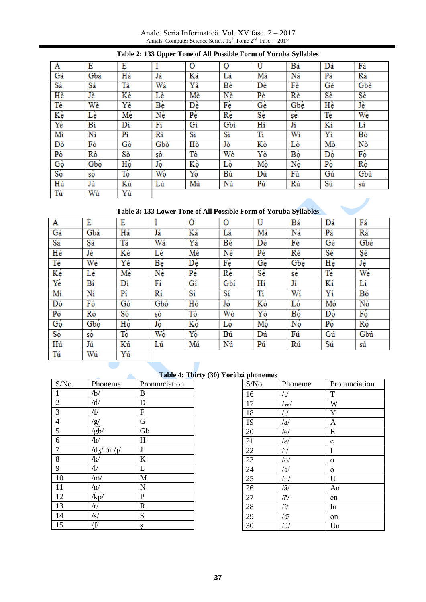Anale. Seria Informatică. Vol. XV fasc. 2 – 2017 Annals. Computer Science Series.  $15<sup>th</sup>$  Tome  $2<sup>nd</sup>$  Fasc.  $-2017$ 

| Α              | É   | Ę  |       | Ó                            | $\mathbf 0$            | Û            | Bà    | Dà | Fà          |
|----------------|-----|----|-------|------------------------------|------------------------|--------------|-------|----|-------------|
| Gà             | Gbà | Hà | Jà    | Kà                           | Là                     | Mà           | Nà    | Pà | Rà          |
| Sà             | Şà  | Tà | Wà    | Yà                           | Bè                     | Dè           | Fè    | Gè | Gbè         |
| Hè             | Jè  | Kè | Lè    | Mè                           | Nè                     | $P\grave{e}$ | Rè    | Sè | Şè          |
| Tè             | Wè  | Yè | Be    | $\mathbf{D}\hat{\mathbf{e}}$ | Fè                     | Gè           | Gbè   | He | Jè          |
| Kè             | Lè  | Mè | Nè    | $P_{\rm e}$                  | $\overline{\text{Re}}$ | Sè           | şė    | Tè | Wè          |
| Yè             | Bi  | Dì | Fì    | Gì                           | Gbì                    | Hì           | $J_1$ | Kì | Li          |
| Mì             | Nì  | Pì | Rì    | Sì                           | Şì                     | <b>Ti</b>    | Wì    | Yì | Bò          |
| Dò             | Fò  | Gò | Gbò   | Hò                           | Jò                     | Kò           | Lò    | Mò | Nò          |
| Pò             | Rò  | Sò | şò    | Tò                           | Wò                     | Yò           | Bộ    | Dò | Fò          |
| G <sub>Q</sub> | Gbo | Hộ | Jò    | Kò                           | Lò                     | Mò           | Nò    | Pò | $R_{\rm Q}$ |
| $S_0$          | ŞQ  | Tộ | $W_0$ | $Y_{\mathbf{Q}}$             | Bù                     | Dù           | Fù    | Gù | Gbù         |
| Hù             | Jù  | Kù | Lù    | Mù                           | Nù                     | Pù           | Rù    | Sù | şù          |
| Tù             | Wù  | Yù |       |                              |                        |              |       |    |             |

## **Table 2: 133 Upper Tone of All Possible Form of Yoruba Syllables**

**Table 3: 133 Lower Tone of All Possible Form of Yoruba Syllables**

| A   | Ė   | Ę  |                | Ó  | $\overline{O}$ | Ù  | Bá  | Dá | Fá  |
|-----|-----|----|----------------|----|----------------|----|-----|----|-----|
| Gá  | Gbá | Há | Já             | Ká | Lá             | Má | Ná  | Pá | Rá  |
| Sá  | Şá  | Tá | Wá             | Yá | Βé             | Dé | Fé  | Gé | Gbé |
| Hé  | Jé  | Κé | Lé             | Mé | Né             | Pé | Ré  | Sé | Şé  |
| Té  | Wé  | Υé | Bé             | Dé | Fé             | Gé | Gbé | Hé | Jé  |
| Κę́ | Lé  | Mé | Né             | Pé | Ré             | Sé | şę  | Té | Wé  |
| Yé  | Bí  | Dí | Fí             | Gí | Gbi            | Hí | Jí  | Κí | Lí  |
| Mí  | Ní  | Pí | Rí             | Sí | Şí             | Tí | Wí  | Yí | Bó  |
| Dó  | Fó  | Gó | Gbó            | Hó | Jó             | Kó | Ló  | Mó | Nó  |
| Pó  | Ró  | Só | şó             | Tó | Wó             | Yó | Bộ  | Dó | Fó  |
| Gó  | Gbó | Hộ | Jó             | Κó | Ló             | Mó | Nó  | Pó | Ró  |
| Só  | ŞQ  | Tó | W <sub>o</sub> | Yó | Bú             | Dú | Fú  | Gú | Gbú |
| Hú  | Jú  | Κú | Lú             | Μú | Nú             | Pú | Rú  | Sú | şú  |
| Tú  | Wú  | Yú |                |    |                |    |     |    |     |

# **Table 4: Thirty (30) Yorùbá phonemes**

| S/No.            | Phoneme                          | Pronunciation |
|------------------|----------------------------------|---------------|
| $\mathbf{1}$     | /b/                              | B             |
| $\overline{2}$   | /d/                              | D             |
| $\overline{3}$   | /f/                              | ${\bf F}$     |
| $\overline{4}$   |                                  | G             |
| $\overline{5}$   | $\frac{g}{g}$                    | Gb            |
| 6                | /h/                              | H             |
| $\boldsymbol{7}$ | $\frac{dy}{dy}$ or $\frac{1}{y}$ | $\bf J$       |
| 8                | /k/                              | $\rm K$       |
| 9                | $\sqrt{l}$                       | L             |
| 10               | /m/                              | $\mathbf{M}$  |
| 11               | /n/                              | N             |
| 12               | $\sqrt{kp}$                      | $\mathbf P$   |
| 13               | /r/                              | $\mathbf R$   |
| 14               | $\sqrt{s/}$                      | S             |
| 15               | /∫/                              | Ş             |

 $\triangle$ 

| S/No. | Phoneme                 | Pronunciation           |
|-------|-------------------------|-------------------------|
| 16    | /t/                     | T                       |
| 17    | /w/                     | $\overline{\mathbf{W}}$ |
| 18    | $\sqrt{j/2}$            | Y                       |
| 19    | /a                      | $\overline{A}$          |
| 20    | /e/                     | E                       |
| 21    | $\sqrt{\varepsilon}/$   | ę                       |
| 22    | $\mathbf{H}$            | I                       |
| 23    | /0/                     | $\mathbf 0$             |
| 24    | $\sqrt{c}$              | Ò                       |
| 25    | /u/                     | U                       |
| 26    | $/\tilde{a}/$           | An                      |
| 27    | $\widetilde{\epsilon}/$ | ęn                      |
| 28    | $\mathcal{U}$           | In                      |
| 29    | $/\mathcal{J}/$         | on                      |
| 30    | $\tilde{u}$             | Un                      |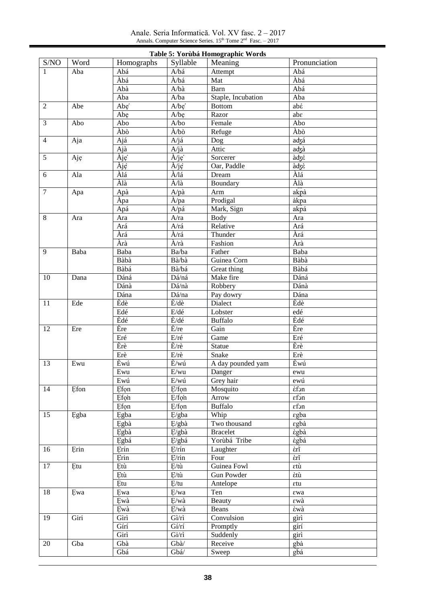Anale. Seria Informatică. Vol. XV fasc. 2 – 2017 Annals. Computer Science Series.  $15<sup>th</sup>$  Tome  $2<sup>nd</sup>$  Fasc.  $-2017$ 

|                |      |            |                         | Table 5: Yorùbá Homographic Words |                                          |
|----------------|------|------------|-------------------------|-----------------------------------|------------------------------------------|
| S/NO           | Word | Homographs | Syllable                | Meaning                           | Pronunciation                            |
| 1              | Aba  | Abá        | A/bá                    | Attempt                           | Abá                                      |
|                |      | Àbá        | À/bá                    | Mat                               | Àbá                                      |
|                |      | Abà        | A/ba                    | Barn                              | Abá                                      |
|                |      | Aba        | A/ba                    | Staple, Incubation                | Aba                                      |
| 2              | Abe  | Abe        | A/be'                   | <b>Bottom</b>                     | abέ                                      |
|                |      | Abe        | A/be                    | Razor                             | $ab\varepsilon$                          |
| 3              | Abo  | Abo        | A/bo                    | Female                            | Abo                                      |
|                |      | Àbò        | $\hat{A}/b\hat{o}$      | Refuge                            | Àbò                                      |
| $\overline{4}$ | Aja  | Ajá        | A/já                    | Dog                               | adzá                                     |
|                |      | Ajà        | A/jà                    | Attic                             | adzà                                     |
| 5              | Aje  | Àje        | $\hat{A}/i\hat{e}$      | Sorcerer                          | àφξέ                                     |
|                |      | Àje        | À/je                    | Oar, Paddle                       | àφε                                      |
| 6              | Ala  | Àlá        | À/lá                    | Dream                             | Àlá                                      |
|                |      | Àlà        | À/là                    | Boundary                          | Àlà                                      |
| $\overline{7}$ | Apa  | Apà        | A/pa                    | Arm                               | akpà                                     |
|                |      | Apa        | $\lambda$ /pa           | Prodigal                          | àkpa                                     |
|                |      | Apá        | A/pá                    | Mark, Sign                        | akpá                                     |
| 8              | Ara  | Ara        | A/ra                    | Body                              | Ara                                      |
|                |      | Ará        | A/rá                    | Relative                          | Ará                                      |
|                |      | Àrá        | À/rá                    | Thunder                           | Àrá                                      |
|                |      | Àrà        | $\hat{A}/\hat{ra}$      | Fashion                           | Àrà                                      |
| $\overline{9}$ | Baba | Baba       | Ba/ba                   | Father                            | Baba                                     |
|                |      | Bàbà       | Bà/bà                   | Guinea Corn                       | Bàbà                                     |
|                |      | Bàbá       | Bà/bá                   | Great thing                       | Bàbá                                     |
| 10             | Dana | Dáná       | Dá/ná                   | Make fire                         | Dáná                                     |
|                |      | Dánà       | Dá/nà                   | Robbery                           | Dánà                                     |
|                |      | Dána       | Dá/na                   | Pay dowry                         | Dána                                     |
| 11             | Ede  | Èdè        | $\dot{E}/d\hat{e}$      | Dialect                           | Èdè                                      |
|                |      | Edé        | E/dé                    | Lobster                           | edé                                      |
|                |      | Èdé        | $\dot{E}/d\acute{e}$    | <b>Buffalo</b>                    | Èdé                                      |
| 12             | Ere  | Ère        | $E$ /re                 | Gain                              | Ère                                      |
|                |      | Eré        | E/ré                    | Game                              | Eré                                      |
|                |      | Èrè        | $E/r$ è                 | Statue                            | Èrè                                      |
|                |      | Erè        | $E/r$ è                 | Snake                             | Erè                                      |
| 13             | Ewu  | Èwú        | È/wú                    | A day pounded yam                 | Èwú                                      |
|                |      | Ewu        | $E\!/wu$                | Danger                            | ewu                                      |
|                |      | Ewú        | $E/w$ ú                 | Grey hair                         | ewú                                      |
| 14             | Efon | Efon       | E/fon                   | Mosquito                          | εfon                                     |
|                |      | Efon       | E/fon                   | Arrow                             | $\epsilon$ fon                           |
|                |      | Efon       | E/fon                   | <b>Buffalo</b>                    | εfon                                     |
| 15             | Egba | Egba       | E/gba                   | Whip                              | $\epsilon$ gba                           |
|                |      | Egbà       | E/gbà                   | Two thousand                      | $\epsilon \widehat{gba}$                 |
|                |      | Egbà       | E/gbà                   | <b>Bracelet</b>                   | $\epsilon \widehat{gba}$                 |
|                |      | Egbá       | E/gbá                   | Yorùbá Tribe                      | εgbá                                     |
| 16             | Erin | Erín       | E/rín                   | Laughter                          | $\epsilon \overline{\tilde{\mathbf{n}}}$ |
|                |      | Erin       | E/rin                   | Four                              | έrĩ                                      |
| 17             | Etu  | Etù        | E/tu                    | Guinea Fowl                       | εtù                                      |
|                |      | Etù        | E/tu                    | Gun Powder                        | έtù                                      |
|                |      | Etu        | E/tu                    | Antelope                          | $\epsilon$ tu                            |
| 18             | Ewa  | Ewa        | E/wa                    | Ten                               | εwa                                      |
|                |      | Ewà        | E/wa                    | Beauty                            | εwà                                      |
|                |      | Ewà        | E/wa                    | Beans                             | Èwà                                      |
| 19             | Giri | Gìrì       | $Gi/\eta$               | Convulsion                        | gìrì                                     |
|                |      | Gírí       | Gí/rí                   | Promptly                          | gírí                                     |
|                |      | Girì       | $Gi/\hat{n}$            | Suddenly                          | girì                                     |
| 20             | Gba  | Gbà        | $Gb\grave{a}$           | Receive                           | gbà                                      |
|                |      | Gbá        | ${\rm Gb}\acute{\rm a}$ |                                   | gbá                                      |
|                |      |            |                         | Sweep                             |                                          |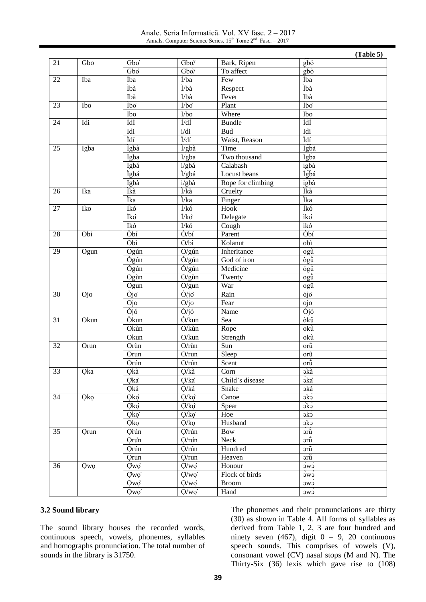Anale. Seria Informatică. Vol. XV fasc. 2 – 2017 Annals. Computer Science Series.  $15<sup>th</sup>$  Tome  $2<sup>nd</sup>$  Fasc.  $-2017$ 

|                 |            |                  |                         |                   | (Table 5)                   |
|-----------------|------------|------------------|-------------------------|-------------------|-----------------------------|
| 21              | Gbo        | Gbo'             | Gbo/                    | Bark, Ripen       | $g\overline{b}$ ó           |
|                 |            | Gbo              | Gbo/                    | To affect         | $g_{\rm b\dot{o}}$          |
| 22              | Iba        | Ìba              | Ì/ba                    | Few               | Ìba                         |
|                 |            | Ìbà              | Ì/bà                    | Respect           | Ìbà                         |
|                 |            | Ibà              | I/bà                    | Fever             | Ibà                         |
| 23              | Ibo        | Ìbo              | $\dot{l}/b\dot{o}$      | Plant             | Ìbo                         |
|                 |            | Ibo              | I/bo                    | Where             | Ibo                         |
| 24              | Idi        | ÌdÌ              | Ì/dÌ                    | <b>Bundle</b>     | ÌdÌ                         |
|                 |            | Idi              | i/di                    | <b>Bud</b>        | Idi                         |
|                 |            | Ìdí              | Ì/dí                    | Waist, Reason     | Ìdí                         |
| 25              | Igba       | Ìgbà             | $\dot{I}/gb\dot{a}$     | Time              | Ìgbà                        |
|                 |            | Igba             | I/gba                   | Two thousand      | Igba                        |
|                 |            | Igbá             | i/gbá                   | Calabash          | igbá                        |
|                 |            | Ìgbá             | Ì/gbá                   | Locust beans      | Ìgbá                        |
|                 |            | Igbà             | $i/gb\grave{a}$         | Rope for climbing | igbà                        |
| 26              | Ika        | Ìkà              | Ì/kà                    | Cruelty           | Ìkà                         |
|                 |            | Ìka              | Ì/ka                    | Finger            | Ìka                         |
| 27              | Iko        | Ìkó              | Ì/kó                    | Hook              | Ìkó                         |
|                 |            | Ìko`             | $\dot{l}/k\dot{o}$      | Delegate          | ìko                         |
|                 |            | Ikó              | $I/k6$                  | Cough             | ikó                         |
| 28              | Obi        | Òbí              | Ò/bí                    | Parent            | Òbí                         |
|                 |            | Obì              | O/bi                    | Kolanut           | obì                         |
| 29              | Ogun       | Ogún             | O/gún                   | Inheritance       | ogû                         |
|                 |            | Ògún             | $\tilde{O}/g$ ún        | God of iron       | ògũ                         |
|                 |            | Ógún             | $\acute{O}/g$ ún        | Medicine          | ógũ                         |
|                 |            | Ogùn             | $O/g$ ùn                | Twenty            | ogù                         |
|                 |            | Ogun             | O/gun                   | War               | ogũ                         |
| 30              | Ojo        | Òjo              | $\dot{O}/j\dot{o}$      | Rain              | $\overline{òj\overline{o}}$ |
|                 |            | Ojo              | O/jo                    | Fear              | ojo                         |
|                 |            | Òjó              | $\dot{O}/i\dot{\sigma}$ | Name              | Òjó                         |
| 31              | Okun       | Òkun             | Ò/kun                   | Sea               | òkũ                         |
|                 |            | Okùn             | O/kùn                   | Rope              | okù                         |
|                 |            | Okun             | O/kun                   | Strength          | okũ                         |
| 32              | Orun       | Orùn             | $O/r$ ùn                | Sun               | orù                         |
|                 |            | Orun             | O/run                   | Sleep             | orũ                         |
|                 |            | Orún             | O/rún                   | Scent             | or $\hat{u}$                |
| $\overline{33}$ | Qka        | Qkà              | Q/kà                    | Corn              | <b>okà</b>                  |
|                 |            | Qka              | Q/ka                    | Child's disease   | <b>Ska</b>                  |
|                 |            | Qká              | Q/ká                    | Snake             | oká                         |
| 34              | <b>Qko</b> | Qkọ`             | Q/kg                    | Canoe             | $\vec{c}$                   |
|                 |            | Qkọ`             | Q/ko                    | Spear             | $\overrightarrow{S}$        |
|                 |            | Qkọ <sup>'</sup> | Q/kg'                   | Hoe               | $\overrightarrow{c}$        |
|                 |            | Qkọ              | Q/kg                    | Husband           | ckc                         |
| 35              | Orun       | Orún             | Q/rún                   | <b>Bow</b>        | $\frac{1}{2}$               |
|                 |            | Orun             | $Q$ /run                | Neck              | ərũ                         |
|                 |            | Orún             | Q/rún                   | Hundred           | ərũ                         |
|                 |            | Orun             | $Q$ /run                | Heaven            | ərũ                         |
| 36              |            |                  | $Q/w$ o                 |                   |                             |
|                 | <b>Qwo</b> | Qwo              |                         | Honour            | CWC                         |
|                 |            | Qwo'             | $Q/wo'$                 | Flock of birds    | cwc                         |
|                 |            | Qwo              | $Q/w$ ọ                 | <b>Broom</b>      | CWC                         |
|                 |            | Qwo'             | Q/wq'                   | Hand              | cwc                         |

#### **3.2 Sound library**

The sound library houses the recorded words, continuous speech, vowels, phonemes, syllables and homographs pronunciation. The total number of sounds in the library is 31750.

The phonemes and their pronunciations are thirty (30) as shown in Table 4. All forms of syllables as derived from Table 1, 2, 3 are four hundred and ninety seven  $(467)$ , digit  $0 - 9$ , 20 continuous speech sounds. This comprises of vowels (V), consonant vowel (CV) nasal stops (M and N). The Thirty-Six (36) lexis which gave rise to (108)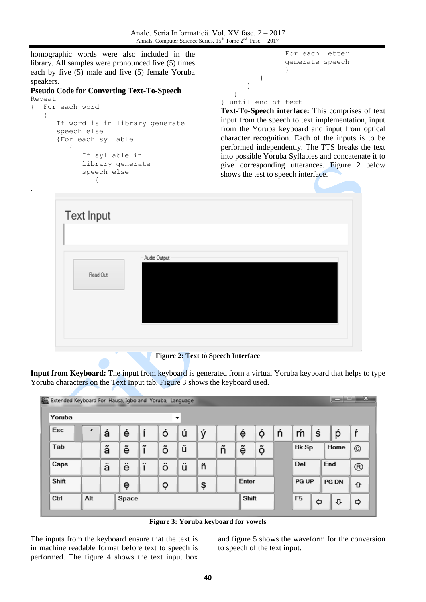}

homographic words were also included in the library. All samples were pronounced five (5) times each by five (5) male and five (5) female Yoruba speakers.

## **Pseudo Code for Converting Text-To-Speech**

```
Repeat
{ For each word
   {
      If word is in library generate
      speech else
      {For each syllable
         {
            If syllable in 
            library generate
             speech else
                {
```
.

```
For each letter 
                generate speech
                }
         }
      }
} until end of text
```
**Text-To-Speech interface:** This comprises of text input from the speech to text implementation, input from the Yoruba keyboard and input from optical character recognition. Each of the inputs is to be performed independently. The TTS breaks the text into possible Yoruba Syllables and concatenate it to give corresponding utterances. Figure 2 below shows the test to speech interface.



**Figure 2: Text to Speech Interface**

**Input from Keyboard:** The input from keyboard is generated from a virtual Yoruba keyboard that helps to type Yoruba characters on the Text Input tab. Figure 3 shows the keyboard used.

| Extended Keyboard For Hausa, Igbo and Yoruba, Language |     |   |       |    |   |   |   |   |       |   |   |                |   |              | $\mathbf{x}$   |
|--------------------------------------------------------|-----|---|-------|----|---|---|---|---|-------|---|---|----------------|---|--------------|----------------|
| Yoruba                                                 |     |   |       |    |   | ▼ |   |   |       |   |   |                |   |              |                |
| Esc                                                    |     | á | é     | ۱í | ó | ú | ý |   | é     | ó | ń | m              | ś | p            | ŕ              |
| Tab                                                    |     | ã | ĕ     | ĩ  | õ | ũ |   | ñ | ĕ     | õ |   | <b>Bk Sp</b>   |   | Home         | $\circledcirc$ |
| Caps                                                   |     | ä | ë     | ï  | ö | ü | ñ |   |       |   |   | Del            |   | End          | $^{\circledR}$ |
| Shift                                                  |     |   | ė     |    | Ò |   | ş |   | Enter |   |   | <b>PG UP</b>   |   | <b>PG DN</b> | ⇧              |
| Ctrl                                                   | Alt |   | Space |    |   |   |   |   | Shift |   |   | F <sub>5</sub> | ⇦ | ⇩            | ⇨              |

**Figure 3: Yoruba keyboard for vowels**

The inputs from the keyboard ensure that the text is in machine readable format before text to speech is performed. The figure 4 shows the text input box and figure 5 shows the waveform for the conversion to speech of the text input.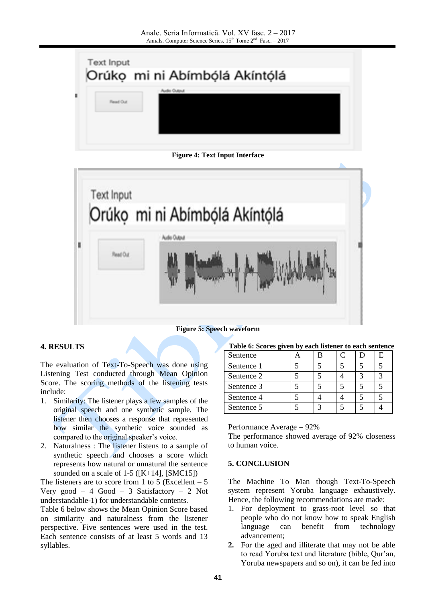

**Figure 4: Text Input Interface**



#### **Figure 5: Speech waveform**

## **4. RESULTS**

The evaluation of Text-To-Speech was done using Listening Test conducted through Mean Opinion Score. The scoring methods of the listening tests include:

- 1. Similarity: The listener plays a few samples of the original speech and one synthetic sample. The listener then chooses a response that represented how similar the synthetic voice sounded as compared to the original speaker's voice.
- 2. Naturalness : The listener listens to a sample of synthetic speech and chooses a score which represents how natural or unnatural the sentence sounded on a scale of  $1-5$  ([K+14], [SMC15])

The listeners are to score from 1 to 5 (Excellent  $-5$ Very good – 4 Good – 3 Satisfactory – 2 Not understandable-1) for understandable contents.

Table 6 below shows the Mean Opinion Score based on similarity and naturalness from the listener perspective. Five sentences were used in the test. Each sentence consists of at least 5 words and 13 syllables.

| Table 6: Scores given by each listener to each sentence |  |  |  |
|---------------------------------------------------------|--|--|--|
|                                                         |  |  |  |

| Sentence   |  |  |  |
|------------|--|--|--|
| Sentence 1 |  |  |  |
| Sentence 2 |  |  |  |
| Sentence 3 |  |  |  |
| Sentence 4 |  |  |  |
| Sentence 5 |  |  |  |

Performance Average = 92%

The performance showed average of 92% closeness to human voice.

## **5. CONCLUSION**

The Machine To Man though Text-To-Speech system represent Yoruba language exhaustively. Hence, the following recommendations are made:

- 1. For deployment to grass-root level so that people who do not know how to speak English language can benefit from technology advancement;
- **2.** For the aged and illiterate that may not be able to read Yoruba text and literature (bible, Qur'an, Yoruba newspapers and so on), it can be fed into